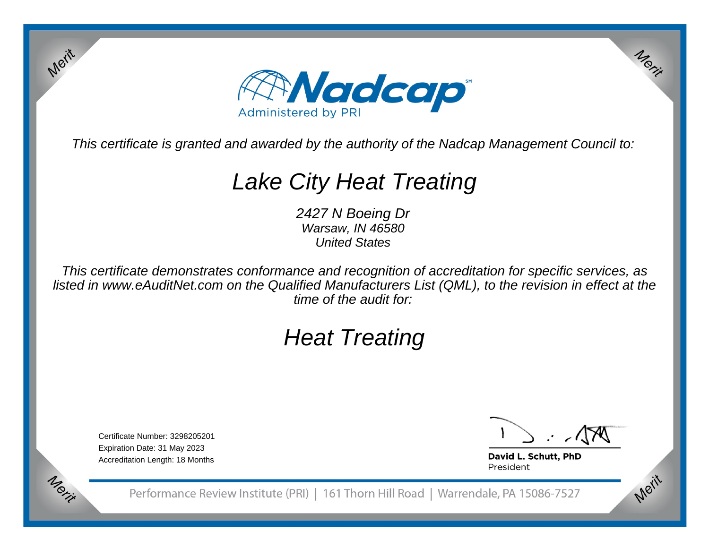

This certificate is granted and awarded by the authority of the Nadcap Management Council to:

# Lake City Heat Treating

2427 N Boeing Dr Warsaw, IN 46580United States

This certificate demonstrates conformance and recognition of accreditation for specific services, as listed in www.eAuditNet.com on the Qualified Manufacturers List (QML), to the revision in effect at thetime of the audit for:

## Heat Treating

Certificate Number: 3298205201Expiration Date: 31 May 2023Accreditation Length: 18 Months

Merit

Merit

Merit

Merit

David L. Schutt, PhD President

Performance Review Institute (PRI) | 161 Thorn Hill Road | Warrendale, PA 15086-7527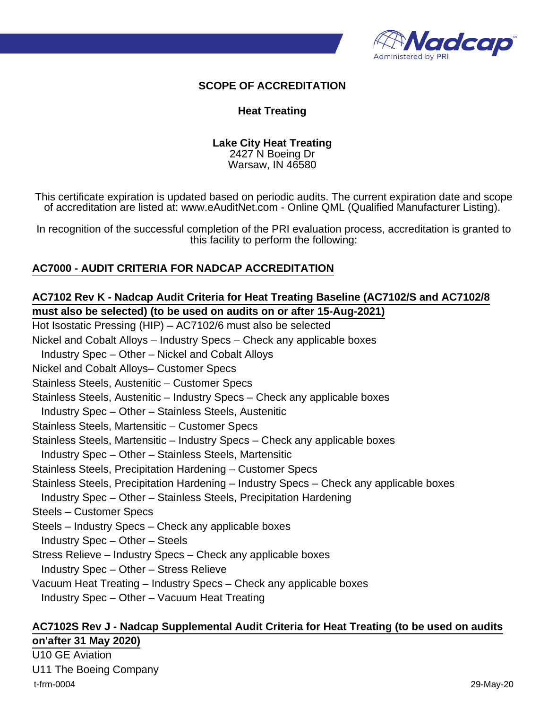

#### **SCOPE OF ACCREDITATION**

#### **Heat Treating**

#### **Lake City Heat Treating** 2427 N Boeing Dr Warsaw, IN 46580

This certificate expiration is updated based on periodic audits. The current expiration date and scope of accreditation are listed at: www.eAuditNet.com - Online QML (Qualified Manufacturer Listing).

In recognition of the successful completion of the PRI evaluation process, accreditation is granted to this facility to perform the following:

#### **AC7000 - AUDIT CRITERIA FOR NADCAP ACCREDITATION**

#### **AC7102 Rev K - Nadcap Audit Criteria for Heat Treating Baseline (AC7102/S and AC7102/8 must also be selected) (to be used on audits on or after 15-Aug-2021)**

Hot Isostatic Pressing (HIP) – AC7102/6 must also be selected Nickel and Cobalt Alloys – Industry Specs – Check any applicable boxes Industry Spec – Other – Nickel and Cobalt Alloys Nickel and Cobalt Alloys– Customer Specs Stainless Steels, Austenitic – Customer Specs Stainless Steels, Austenitic – Industry Specs – Check any applicable boxes Industry Spec – Other – Stainless Steels, Austenitic Stainless Steels, Martensitic – Customer Specs Stainless Steels, Martensitic – Industry Specs – Check any applicable boxes Industry Spec – Other – Stainless Steels, Martensitic Stainless Steels, Precipitation Hardening – Customer Specs Stainless Steels, Precipitation Hardening – Industry Specs – Check any applicable boxes Industry Spec – Other – Stainless Steels, Precipitation Hardening Steels – Customer Specs Steels – Industry Specs – Check any applicable boxes Industry Spec – Other – Steels Stress Relieve – Industry Specs – Check any applicable boxes Industry Spec – Other – Stress Relieve Vacuum Heat Treating – Industry Specs – Check any applicable boxes Industry Spec – Other – Vacuum Heat Treating

#### **AC7102S Rev J - Nadcap Supplemental Audit Criteria for Heat Treating (to be used on audits on'after 31 May 2020)**

U10 GE Aviation U11 The Boeing Company t-frm-0004 29-May-20